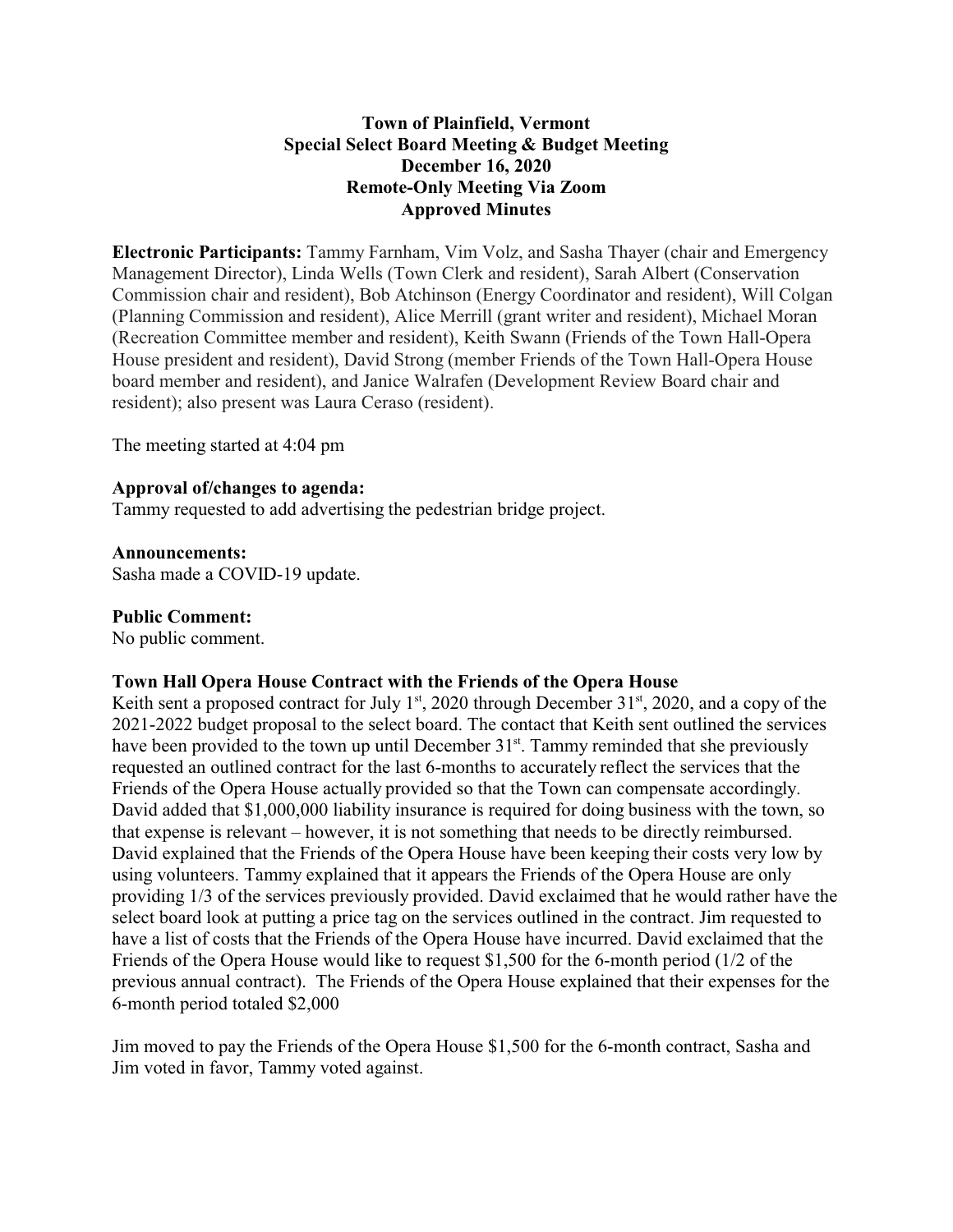## **Town of Plainfield, Vermont Special Select Board Meeting & Budget Meeting December 16, 2020 Remote-Only Meeting Via Zoom Approved Minutes**

**Electronic Participants:** Tammy Farnham, Vim Volz, and Sasha Thayer (chair and Emergency Management Director), Linda Wells (Town Clerk and resident), Sarah Albert (Conservation Commission chair and resident), Bob Atchinson (Energy Coordinator and resident), Will Colgan (Planning Commission and resident), Alice Merrill (grant writer and resident), Michael Moran (Recreation Committee member and resident), Keith Swann (Friends of the Town Hall-Opera House president and resident), David Strong (member Friends of the Town Hall-Opera House board member and resident), and Janice Walrafen (Development Review Board chair and resident); also present was Laura Ceraso (resident).

The meeting started at 4:04 pm

#### **Approval of/changes to agenda:**

Tammy requested to add advertising the pedestrian bridge project.

**Announcements:** Sasha made a COVID-19 update.

#### **Public Comment:**

No public comment.

#### **Town Hall Opera House Contract with the Friends of the Opera House**

Keith sent a proposed contract for July 1<sup>st</sup>, 2020 through December 31<sup>st</sup>, 2020, and a copy of the 2021-2022 budget proposal to the select board. The contact that Keith sent outlined the services have been provided to the town up until December 31<sup>st</sup>. Tammy reminded that she previously requested an outlined contract for the last 6-months to accurately reflect the services that the Friends of the Opera House actually provided so that the Town can compensate accordingly. David added that \$1,000,000 liability insurance is required for doing business with the town, so that expense is relevant – however, it is not something that needs to be directly reimbursed. David explained that the Friends of the Opera House have been keeping their costs very low by using volunteers. Tammy explained that it appears the Friends of the Opera House are only providing 1/3 of the services previously provided. David exclaimed that he would rather have the select board look at putting a price tag on the services outlined in the contract. Jim requested to have a list of costs that the Friends of the Opera House have incurred. David exclaimed that the Friends of the Opera House would like to request \$1,500 for the 6-month period (1/2 of the previous annual contract). The Friends of the Opera House explained that their expenses for the 6-month period totaled \$2,000

Jim moved to pay the Friends of the Opera House \$1,500 for the 6-month contract, Sasha and Jim voted in favor, Tammy voted against.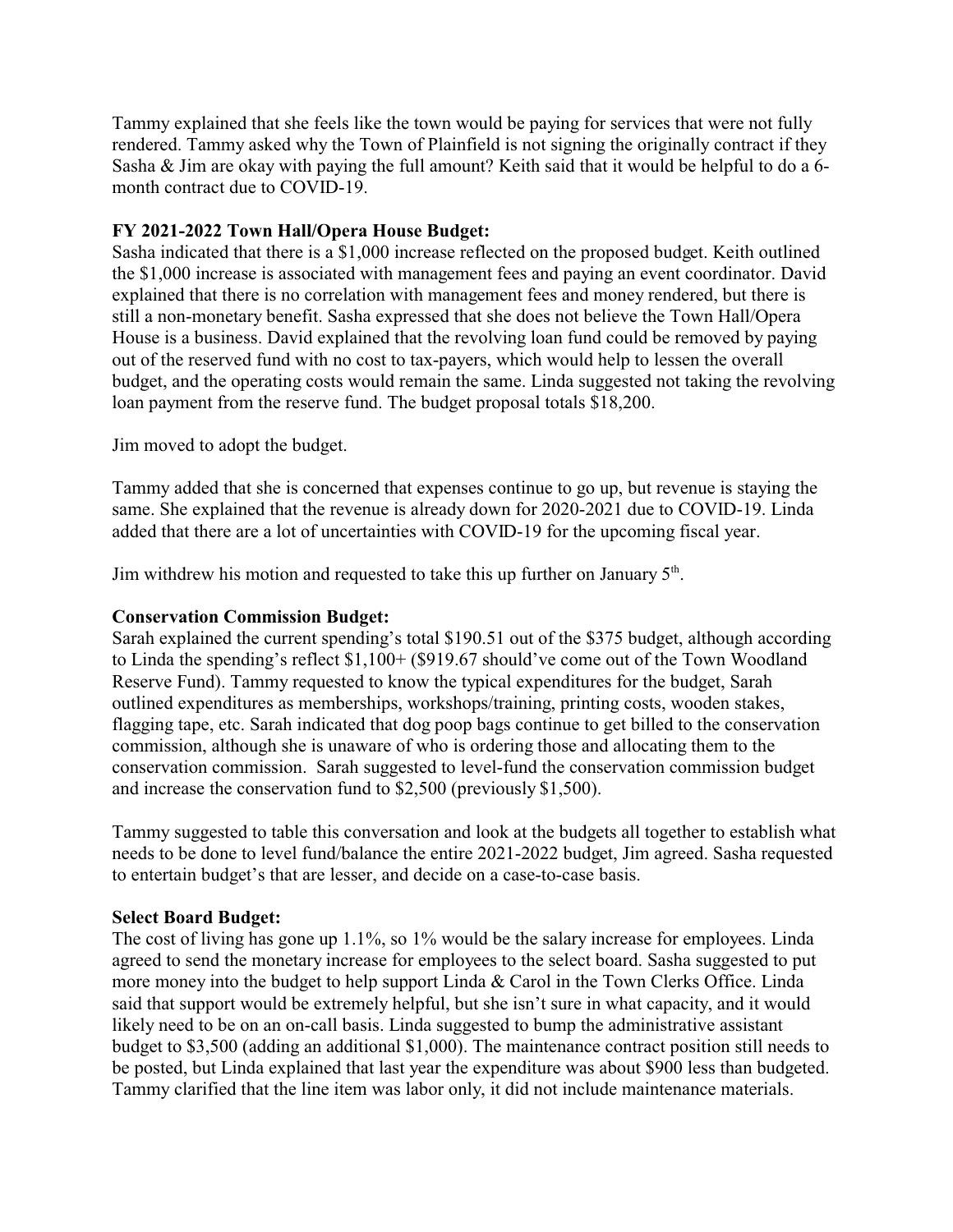Tammy explained that she feels like the town would be paying for services that were not fully rendered. Tammy asked why the Town of Plainfield is not signing the originally contract if they Sasha & Jim are okay with paying the full amount? Keith said that it would be helpful to do a 6 month contract due to COVID-19.

# **FY 2021-2022 Town Hall/Opera House Budget:**

Sasha indicated that there is a \$1,000 increase reflected on the proposed budget. Keith outlined the \$1,000 increase is associated with management fees and paying an event coordinator. David explained that there is no correlation with management fees and money rendered, but there is still a non-monetary benefit. Sasha expressed that she does not believe the Town Hall/Opera House is a business. David explained that the revolving loan fund could be removed by paying out of the reserved fund with no cost to tax-payers, which would help to lessen the overall budget, and the operating costs would remain the same. Linda suggested not taking the revolving loan payment from the reserve fund. The budget proposal totals \$18,200.

Jim moved to adopt the budget.

Tammy added that she is concerned that expenses continue to go up, but revenue is staying the same. She explained that the revenue is already down for 2020-2021 due to COVID-19. Linda added that there are a lot of uncertainties with COVID-19 for the upcoming fiscal year.

Jim withdrew his motion and requested to take this up further on January  $5<sup>th</sup>$ .

### **Conservation Commission Budget:**

Sarah explained the current spending's total \$190.51 out of the \$375 budget, although according to Linda the spending's reflect \$1,100+ (\$919.67 should've come out of the Town Woodland Reserve Fund). Tammy requested to know the typical expenditures for the budget, Sarah outlined expenditures as memberships, workshops/training, printing costs, wooden stakes, flagging tape, etc. Sarah indicated that dog poop bags continue to get billed to the conservation commission, although she is unaware of who is ordering those and allocating them to the conservation commission. Sarah suggested to level-fund the conservation commission budget and increase the conservation fund to \$2,500 (previously \$1,500).

Tammy suggested to table this conversation and look at the budgets all together to establish what needs to be done to level fund/balance the entire 2021-2022 budget, Jim agreed. Sasha requested to entertain budget's that are lesser, and decide on a case-to-case basis.

### **Select Board Budget:**

The cost of living has gone up 1.1%, so 1% would be the salary increase for employees. Linda agreed to send the monetary increase for employees to the select board. Sasha suggested to put more money into the budget to help support Linda & Carol in the Town Clerks Office. Linda said that support would be extremely helpful, but she isn't sure in what capacity, and it would likely need to be on an on-call basis. Linda suggested to bump the administrative assistant budget to \$3,500 (adding an additional \$1,000). The maintenance contract position still needs to be posted, but Linda explained that last year the expenditure was about \$900 less than budgeted. Tammy clarified that the line item was labor only, it did not include maintenance materials.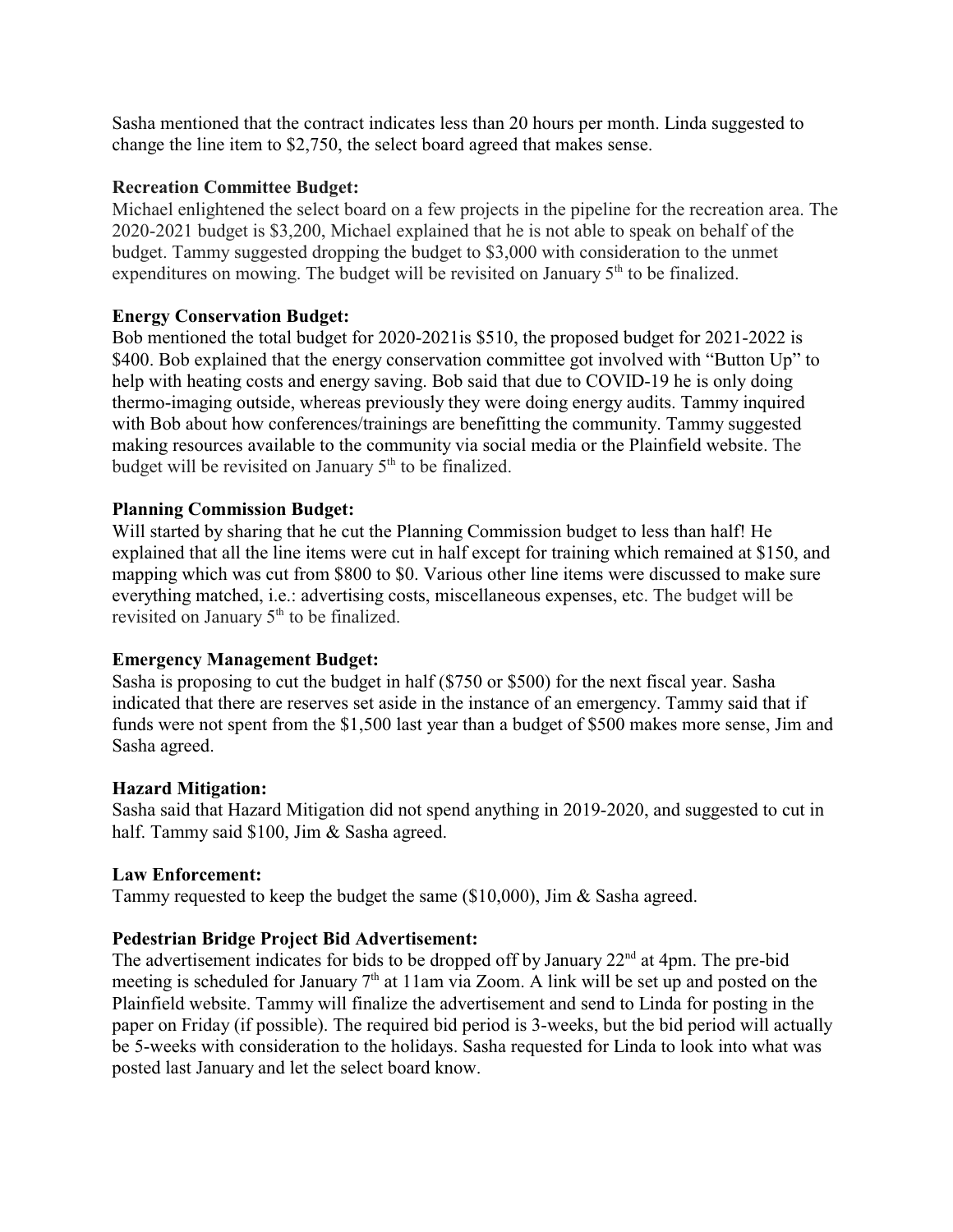Sasha mentioned that the contract indicates less than 20 hours per month. Linda suggested to change the line item to \$2,750, the select board agreed that makes sense.

## **Recreation Committee Budget:**

Michael enlightened the select board on a few projects in the pipeline for the recreation area. The 2020-2021 budget is \$3,200, Michael explained that he is not able to speak on behalf of the budget. Tammy suggested dropping the budget to \$3,000 with consideration to the unmet expenditures on mowing. The budget will be revisited on January 5<sup>th</sup> to be finalized.

# **Energy Conservation Budget:**

Bob mentioned the total budget for 2020-2021is \$510, the proposed budget for 2021-2022 is \$400. Bob explained that the energy conservation committee got involved with "Button Up" to help with heating costs and energy saving. Bob said that due to COVID-19 he is only doing thermo-imaging outside, whereas previously they were doing energy audits. Tammy inquired with Bob about how conferences/trainings are benefitting the community. Tammy suggested making resources available to the community via social media or the Plainfield website. The budget will be revisited on January 5<sup>th</sup> to be finalized.

### **Planning Commission Budget:**

Will started by sharing that he cut the Planning Commission budget to less than half! He explained that all the line items were cut in half except for training which remained at \$150, and mapping which was cut from \$800 to \$0. Various other line items were discussed to make sure everything matched, i.e.: advertising costs, miscellaneous expenses, etc. The budget will be revisited on January 5<sup>th</sup> to be finalized.

### **Emergency Management Budget:**

Sasha is proposing to cut the budget in half (\$750 or \$500) for the next fiscal year. Sasha indicated that there are reserves set aside in the instance of an emergency. Tammy said that if funds were not spent from the \$1,500 last year than a budget of \$500 makes more sense, Jim and Sasha agreed.

### **Hazard Mitigation:**

Sasha said that Hazard Mitigation did not spend anything in 2019-2020, and suggested to cut in half. Tammy said \$100, Jim & Sasha agreed.

### **Law Enforcement:**

Tammy requested to keep the budget the same (\$10,000), Jim & Sasha agreed.

# **Pedestrian Bridge Project Bid Advertisement:**

The advertisement indicates for bids to be dropped off by January  $22<sup>nd</sup>$  at 4pm. The pre-bid meeting is scheduled for January 7<sup>th</sup> at 11am via Zoom. A link will be set up and posted on the Plainfield website. Tammy will finalize the advertisement and send to Linda for posting in the paper on Friday (if possible). The required bid period is 3-weeks, but the bid period will actually be 5-weeks with consideration to the holidays. Sasha requested for Linda to look into what was posted last January and let the select board know.